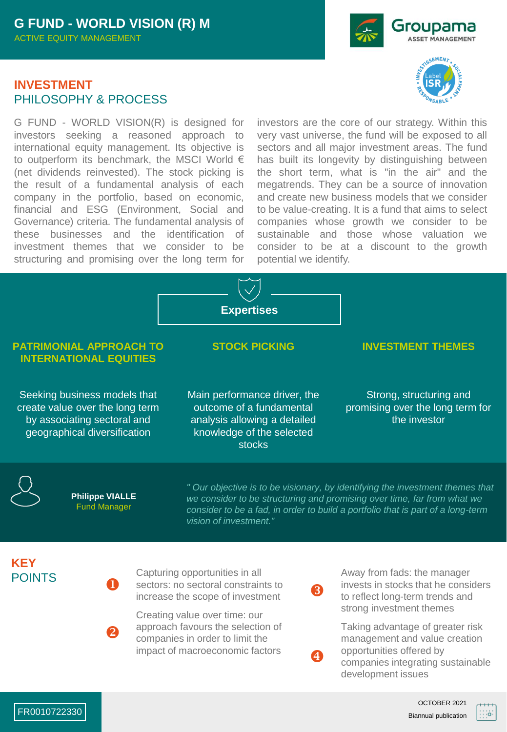## **INVESTMENT** PHILOSOPHY & PROCESS

G FUND - WORLD VISION(R) is designed for investors seeking a reasoned approach to international equity management. Its objective is to outperform its benchmark, the MSCI World € (net dividends reinvested). The stock picking is the result of a fundamental analysis of each company in the portfolio, based on economic, financial and ESG (Environment, Social and Governance) criteria. The fundamental analysis of these businesses and the identification of investment themes that we consider to be structuring and promising over the long term for





investors are the core of our strategy. Within this very vast universe, the fund will be exposed to all sectors and all major investment areas. The fund has built its longevity by distinguishing between the short term, what is "in the air" and the megatrends. They can be a source of innovation and create new business models that we consider to be value-creating. It is a fund that aims to select companies whose growth we consider to be sustainable and those whose valuation we consider to be at a discount to the growth potential we identify.



### **PATRIMONIAL APPROACH TO INTERNATIONAL EQUITIES**

Seeking business models that create value over the long term by associating sectoral and geographical diversification

**STOCK PICKING INVESTMENT THEMES**

Main performance driver, the outcome of a fundamental analysis allowing a detailed knowledge of the selected stocks

Strong, structuring and

promising over the long term for the investor



**Philippe VIALLE**  Fund Manager

u

 $\boldsymbol{\Omega}$ 

*" Our objective is to be visionary, by identifying the investment themes that we consider to be structuring and promising over time, far from what we consider to be a fad, in order to build a portfolio that is part of a long-term vision of investment."* 

R

 $\overline{A}$ 

**KEY** POINTS

Capturing opportunities in all sectors: no sectoral constraints to increase the scope of investment

Creating value over time: our approach favours the selection of companies in order to limit the impact of macroeconomic factors

Away from fads: the manager invests in stocks that he considers to reflect long-term trends and strong investment themes

Taking advantage of greater risk management and value creation opportunities offered by companies integrating sustainable development issues